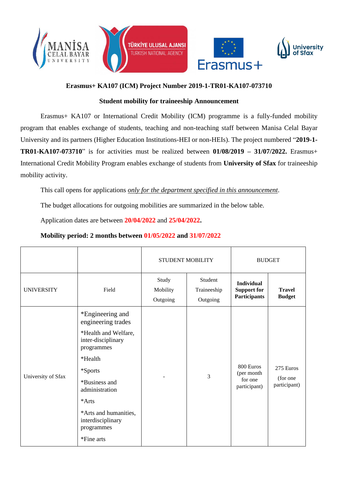





# **Erasmus+ KA107 (ICM) Project Number 2019-1-TR01-KA107-073710**

### **Student mobility for traineeship Announcement**

Erasmus+ KA107 or International Credit Mobility (ICM) programme is a fully-funded mobility program that enables exchange of students, teaching and non-teaching staff between Manisa Celal Bayar University and its partners (Higher Education Institutions-HEI or non-HEIs). The project numbered "**2019-1- TR01-KA107-073710**" is for activities must be realized between **01/08/2019 – 31/07/2022.** Erasmus+ International Credit Mobility Program enables exchange of students from **University of Sfax** for traineeship mobility activity.

This call opens for applications *only for the department specified in this announcement*.

The budget allocations for outgoing mobilities are summarized in the below table.

Application dates are between **20/04/2022** and **25/04/2022.**

|                    |                                                                                                                                                                                                                                                | <b>STUDENT MOBILITY</b>       |                                    | <b>BUDGET</b>                                                  |                                       |
|--------------------|------------------------------------------------------------------------------------------------------------------------------------------------------------------------------------------------------------------------------------------------|-------------------------------|------------------------------------|----------------------------------------------------------------|---------------------------------------|
| <b>UNIVERSITY</b>  | Field                                                                                                                                                                                                                                          | Study<br>Mobility<br>Outgoing | Student<br>Traineeship<br>Outgoing | <b>Individual</b><br><b>Support for</b><br><b>Participants</b> | <b>Travel</b><br><b>Budget</b>        |
| University of Sfax | *Engineering and<br>engineering trades<br>*Health and Welfare,<br>inter-disciplinary<br>programmes<br>*Health<br>*Sports<br>*Business and<br>administration<br>*Arts<br>*Arts and humanities,<br>interdisciplinary<br>programmes<br>*Fine arts |                               | 3                                  | 800 Euros<br>(per month<br>for one<br>participant)             | 275 Euros<br>(for one<br>participant) |

## **Mobility period: 2 months between 01/05/2022 and 31/07/2022**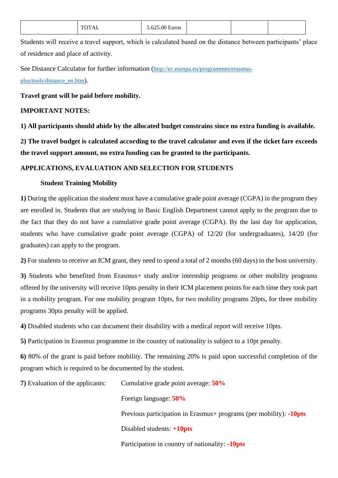| TOTAI<br>`UAL | 5.625.00 Euros |  |  |  |
|---------------|----------------|--|--|--|
|---------------|----------------|--|--|--|

Students will receive a travel support, which is calculated based on the distance between participants' place of residence and place of activity.

See Distance Calculator for further information ([http://ec.europa.eu/programmes/erasmus](http://ec.europa.eu/programmes/erasmus-plus/tools/distance_en.htm)[plus/tools/distance\\_en.htm](http://ec.europa.eu/programmes/erasmus-plus/tools/distance_en.htm)).

#### **Travel grant will be paid before mobility.**

### **IMPORTANT NOTES:**

**1) All participants should abide by the allocated budget constrains since no extra funding is available.**

**2) The travel budget is calculated according to the travel calculator and even if the ticket fare exceeds the travel support amount, no extra funding can be granted to the participants.**

#### **APPLICATIONS, EVALUATION AND SELECTION FOR STUDENTS**

#### **Student Training Mobility**

**1)** During the application the student must have a cumulative grade point average (CGPA) in the program they are enrolled in. Students that are studying in Basic English Department cannot apply to the program due to the fact that they do not have a cumulative grade point average (CGPA). By the last day for application, students who have cumulative grade point average (CGPA) of 12/20 (for undergraduates), 14/20 (for graduates) can apply to the program.

**2)** For students to receive an ICM grant, they need to spend a total of 2 months (60 days) in the host university.

**3)** Students who benefited from Erasmus+ study and/or internship programs or other mobility programs offered by the university will receive 10pts penalty in their ICM placement points for each time they took part in a mobility program. For one mobility program 10pts, for two mobility programs 20pts, for three mobility programs 30pts penalty will be applied.

**4)** Disabled students who can document their disability with a medical report will receive 10pts.

**5)** Participation in Erasmus programme in the country of nationality is subject to a 10pt penalty.

**6)** 80% of the grant is paid before mobility. The remaining 20% is paid upon successful completion of the program which is required to be documented by the student.

**7)** Evaluation of the applicants: Cumulative grade point average: **50%**

Foreign language: **50%**

Previous participation in Erasmus+ programs (per mobility): **-10pts**

Disabled students: **+10pts**

Participation in country of nationality: **-10pts**